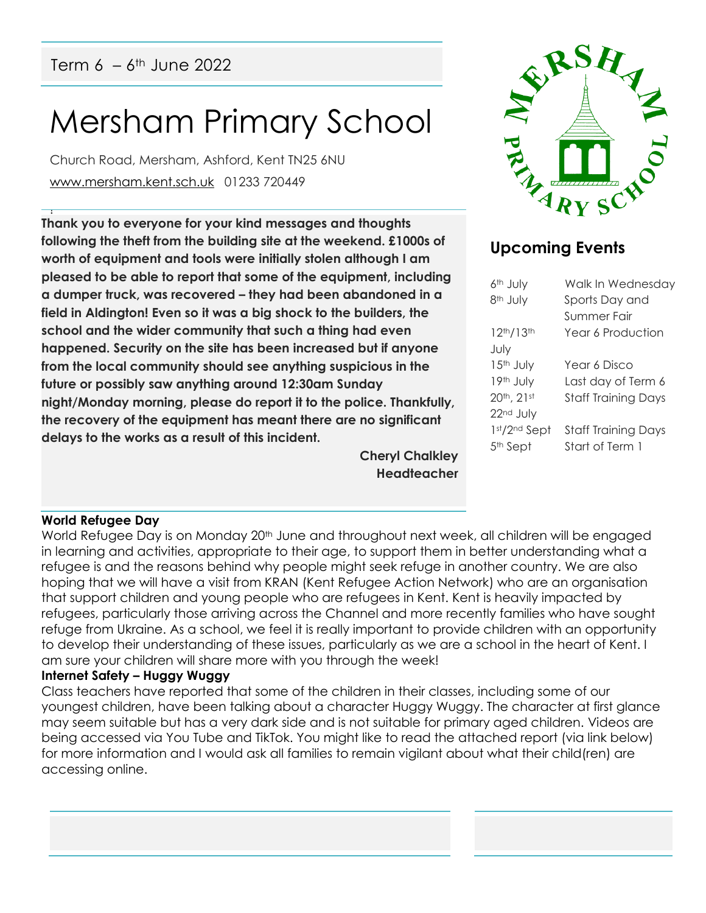# Mersham Primary School

Church Road, Mersham, Ashford, Kent TN25 6NU [www.mersham.kent.sch.uk](http://www.mersham.kent.sch.uk/) 01233 720449

! **Thank you to everyone for your kind messages and thoughts following the theft from the building site at the weekend. £1000s of worth of equipment and tools were initially stolen although I am pleased to be able to report that some of the equipment, including a dumper truck, was recovered – they had been abandoned in a field in Aldington! Even so it was a big shock to the builders, the school and the wider community that such a thing had even happened. Security on the site has been increased but if anyone from the local community should see anything suspicious in the future or possibly saw anything around 12:30am Sunday night/Monday morning, please do report it to the police. Thankfully, the recovery of the equipment has meant there are no significant delays to the works as a result of this incident.** 

> **Cheryl Chalkley Headteacher**



# **Upcoming Events**

| 6 <sup>th</sup> July               | Walk In Wednesday          |
|------------------------------------|----------------------------|
| 8 <sup>th</sup> July               | Sports Day and             |
|                                    | Summer Fair                |
| 12 <sup>th</sup> /13 <sup>th</sup> | Year 6 Production          |
| July                               |                            |
| $15th$ July                        | Year 6 Disco               |
| 19th July                          | Last day of Term 6         |
| 20th, 21st                         | <b>Staff Training Days</b> |
| 22 <sup>nd</sup> July              |                            |
| 1st/2nd Sept                       | Staff Training Days        |
| 5 <sup>th</sup> Sept               | Start of Term 1            |
|                                    |                            |

# **World Refugee Day**

World Refugee Day is on Monday 20<sup>th</sup> June and throughout next week, all children will be engaged in learning and activities, appropriate to their age, to support them in better understanding what a refugee is and the reasons behind why people might seek refuge in another country. We are also hoping that we will have a visit from KRAN (Kent Refugee Action Network) who are an organisation that support children and young people who are refugees in Kent. Kent is heavily impacted by refugees, particularly those arriving across the Channel and more recently families who have sought refuge from Ukraine. As a school, we feel it is really important to provide children with an opportunity to develop their understanding of these issues, particularly as we are a school in the heart of Kent. I am sure your children will share more with you through the week!

# **Internet Safety – Huggy Wuggy**

Class teachers have reported that some of the children in their classes, including some of our youngest children, have been talking about a character Huggy Wuggy. The character at first glance may seem suitable but has a very dark side and is not suitable for primary aged children. Videos are being accessed via You Tube and TikTok. You might like to read the attached report (via link below) for more information and I would ask all families to remain vigilant about what their child(ren) are accessing online.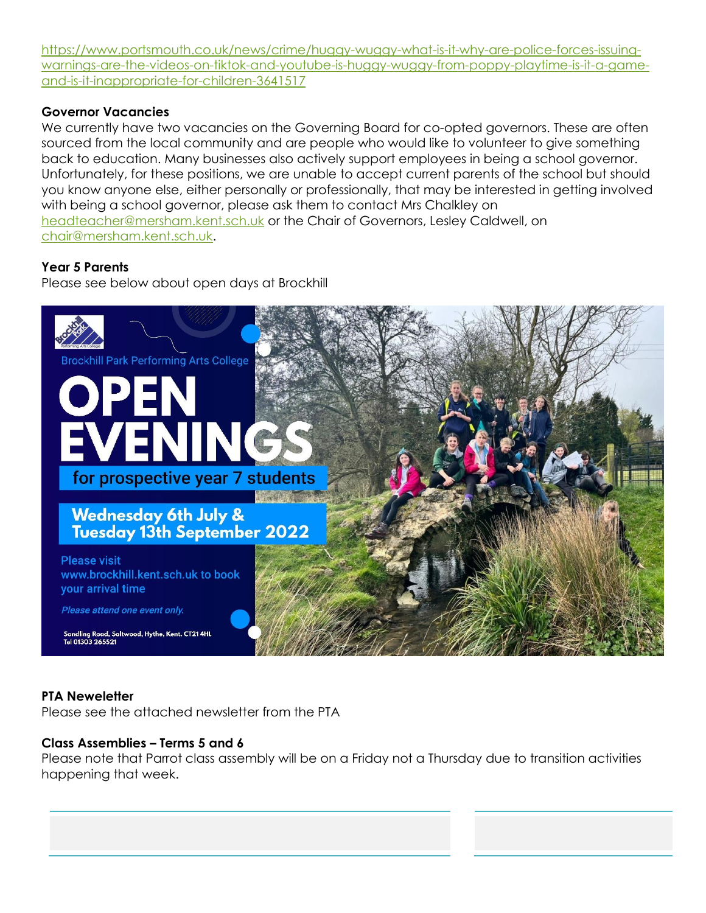[https://www.portsmouth.co.uk/news/crime/huggy-wuggy-what-is-it-why-are-police-forces-issuing](https://www.portsmouth.co.uk/news/crime/huggy-wuggy-what-is-it-why-are-police-forces-issuing-warnings-are-the-videos-on-tiktok-and-youtube-is-huggy-wuggy-from-poppy-playtime-is-it-a-game-and-is-it-inappropriate-for-children-3641517)[warnings-are-the-videos-on-tiktok-and-youtube-is-huggy-wuggy-from-poppy-playtime-is-it-a-game](https://www.portsmouth.co.uk/news/crime/huggy-wuggy-what-is-it-why-are-police-forces-issuing-warnings-are-the-videos-on-tiktok-and-youtube-is-huggy-wuggy-from-poppy-playtime-is-it-a-game-and-is-it-inappropriate-for-children-3641517)[and-is-it-inappropriate-for-children-3641517](https://www.portsmouth.co.uk/news/crime/huggy-wuggy-what-is-it-why-are-police-forces-issuing-warnings-are-the-videos-on-tiktok-and-youtube-is-huggy-wuggy-from-poppy-playtime-is-it-a-game-and-is-it-inappropriate-for-children-3641517)

# **Governor Vacancies**

We currently have two vacancies on the Governing Board for co-opted governors. These are often sourced from the local community and are people who would like to volunteer to give something back to education. Many businesses also actively support employees in being a school governor. Unfortunately, for these positions, we are unable to accept current parents of the school but should you know anyone else, either personally or professionally, that may be interested in getting involved with being a school governor, please ask them to contact Mrs Chalkley on [headteacher@mersham.kent.sch.uk](mailto:headteacher@mersham.kent.sch.uk) or the Chair of Governors, Lesley Caldwell, on [chair@mersham.kent.sch.uk.](mailto:chair@mersham.kent.sch.uk)

#### **Year 5 Parents**

Please see below about open days at Brockhill



# **PTA Neweletter**

Please see the attached newsletter from the PTA

#### **Class Assemblies – Terms 5 and 6**

Please note that Parrot class assembly will be on a Friday not a Thursday due to transition activities happening that week.